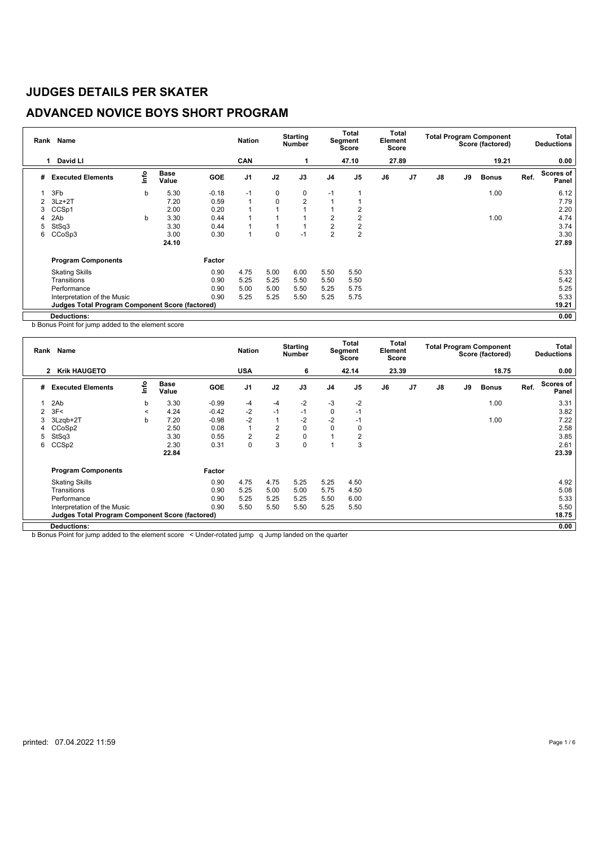## **ADVANCED NOVICE BOYS SHORT PROGRAM**

| Rank | Name                                            |      |                      |            | <b>Nation</b>  |                | <b>Starting</b><br><b>Number</b> |                | Total<br>Segment<br>Score | Element<br>Score | Total          |    |    | <b>Total Program Component</b><br>Score (factored) |      | Total<br><b>Deductions</b> |
|------|-------------------------------------------------|------|----------------------|------------|----------------|----------------|----------------------------------|----------------|---------------------------|------------------|----------------|----|----|----------------------------------------------------|------|----------------------------|
|      | David LI<br>$\mathbf{1}$                        |      |                      |            | <b>CAN</b>     |                |                                  |                | 47.10                     | 27.89            |                |    |    | 19.21                                              |      | 0.00                       |
| #    | <b>Executed Elements</b>                        | lnfo | <b>Base</b><br>Value | <b>GOE</b> | J <sub>1</sub> | J2             | J3                               | J <sub>4</sub> | J <sub>5</sub>            | J6               | J <sub>7</sub> | J8 | J9 | <b>Bonus</b>                                       | Ref. | Scores of<br>Panel         |
|      | 3Fb                                             | b    | 5.30                 | $-0.18$    | $-1$           | 0              | $\mathbf 0$                      | $-1$           |                           |                  |                |    |    | 1.00                                               |      | 6.12                       |
| 2    | $3Lz + 2T$                                      |      | 7.20                 | 0.59       | $\overline{1}$ | $\mathbf 0$    | $\overline{2}$                   |                |                           |                  |                |    |    |                                                    |      | 7.79                       |
| 3    | CCS <sub>p1</sub>                               |      | 2.00                 | 0.20       |                | $\overline{A}$ |                                  |                | 2                         |                  |                |    |    |                                                    |      | 2.20                       |
|      | 2Ab                                             | b    | 3.30                 | 0.44       |                |                |                                  | $\overline{2}$ | 2                         |                  |                |    |    | 1.00                                               |      | 4.74                       |
| 5    | StSq3                                           |      | 3.30                 | 0.44       | 1              | $\mathbf{1}$   |                                  | $\overline{2}$ | 2                         |                  |                |    |    |                                                    |      | 3.74                       |
| 6    | CCoSp3                                          |      | 3.00                 | 0.30       | 1              | 0              | $-1$                             | $\overline{2}$ | $\overline{2}$            |                  |                |    |    |                                                    |      | 3.30                       |
|      |                                                 |      | 24.10                |            |                |                |                                  |                |                           |                  |                |    |    |                                                    |      | 27.89                      |
|      | <b>Program Components</b>                       |      |                      | Factor     |                |                |                                  |                |                           |                  |                |    |    |                                                    |      |                            |
|      | <b>Skating Skills</b>                           |      |                      | 0.90       | 4.75           | 5.00           | 6.00                             | 5.50           | 5.50                      |                  |                |    |    |                                                    |      | 5.33                       |
|      | Transitions                                     |      |                      | 0.90       | 5.25           | 5.25           | 5.50                             | 5.50           | 5.50                      |                  |                |    |    |                                                    |      | 5.42                       |
|      | Performance                                     |      |                      | 0.90       | 5.00           | 5.00           | 5.50                             | 5.25           | 5.75                      |                  |                |    |    |                                                    |      | 5.25                       |
|      | Interpretation of the Music                     |      |                      | 0.90       | 5.25           | 5.25           | 5.50                             | 5.25           | 5.75                      |                  |                |    |    |                                                    |      | 5.33                       |
|      | Judges Total Program Component Score (factored) |      |                      |            |                |                |                                  |                |                           |                  |                |    |    |                                                    |      | 19.21                      |
|      | Deductions:                                     |      |                      |            |                |                |                                  |                |                           |                  |                |    |    |                                                    |      | 0.00                       |

b Bonus Point for jump added to the element score

| Rank | <b>Name</b>                                            |         |                      |            | <b>Nation</b>  |                | <b>Starting</b><br>Number |                | <b>Total</b><br><b>Segment</b><br><b>Score</b> | Total<br>Element<br><b>Score</b> |    |               |    | <b>Total Program Component</b><br>Score (factored) |      | Total<br><b>Deductions</b> |
|------|--------------------------------------------------------|---------|----------------------|------------|----------------|----------------|---------------------------|----------------|------------------------------------------------|----------------------------------|----|---------------|----|----------------------------------------------------|------|----------------------------|
|      | <b>Krik HAUGETO</b><br>$\mathbf{2}$                    |         |                      |            | <b>USA</b>     |                | 6                         |                | 42.14                                          | 23.39                            |    |               |    | 18.75                                              |      | 0.00                       |
| #    | <b>Executed Elements</b>                               | ١nf٥    | <b>Base</b><br>Value | <b>GOE</b> | J <sub>1</sub> | J2             | J3                        | J <sub>4</sub> | J5                                             | J6                               | J7 | $\mathsf{J}8$ | J9 | <b>Bonus</b>                                       | Ref. | <b>Scores of</b><br>Panel  |
|      | 2Ab                                                    | b       | 3.30                 | $-0.99$    | $-4$           | $-4$           | $-2$                      | -3             | $-2$                                           |                                  |    |               |    | 1.00                                               |      | 3.31                       |
|      | 3F<                                                    | $\prec$ | 4.24                 | $-0.42$    | $-2$           | $-1$           | $-1$                      | 0              | $-1$                                           |                                  |    |               |    |                                                    |      | 3.82                       |
| 3    | 3Lzqb+2T                                               | b       | 7.20                 | $-0.98$    | $-2$           | $\mathbf{1}$   | $-2$                      | $-2$           | $-1$                                           |                                  |    |               |    | 1.00                                               |      | 7.22                       |
|      | CCoSp2                                                 |         | 2.50                 | 0.08       | $\mathbf{1}$   | $\overline{2}$ | 0                         | $\Omega$       | 0                                              |                                  |    |               |    |                                                    |      | 2.58                       |
| 5    | StSq3                                                  |         | 3.30                 | 0.55       | $\overline{2}$ | $\overline{2}$ | 0                         |                | 2                                              |                                  |    |               |    |                                                    |      | 3.85                       |
| 6    | CCS <sub>p2</sub>                                      |         | 2.30                 | 0.31       | 0              | 3              | $\Omega$                  |                | 3                                              |                                  |    |               |    |                                                    |      | 2.61                       |
|      |                                                        |         | 22.84                |            |                |                |                           |                |                                                |                                  |    |               |    |                                                    |      | 23.39                      |
|      | <b>Program Components</b>                              |         |                      | Factor     |                |                |                           |                |                                                |                                  |    |               |    |                                                    |      |                            |
|      | <b>Skating Skills</b>                                  |         |                      | 0.90       | 4.75           | 4.75           | 5.25                      | 5.25           | 4.50                                           |                                  |    |               |    |                                                    |      | 4.92                       |
|      | Transitions                                            |         |                      | 0.90       | 5.25           | 5.00           | 5.00                      | 5.75           | 4.50                                           |                                  |    |               |    |                                                    |      | 5.08                       |
|      | Performance                                            |         |                      | 0.90       | 5.25           | 5.25           | 5.25                      | 5.50           | 6.00                                           |                                  |    |               |    |                                                    |      | 5.33                       |
|      | Interpretation of the Music                            |         |                      | 0.90       | 5.50           | 5.50           | 5.50                      | 5.25           | 5.50                                           |                                  |    |               |    |                                                    |      | 5.50                       |
|      | <b>Judges Total Program Component Score (factored)</b> |         |                      |            |                |                |                           |                |                                                |                                  |    |               |    |                                                    |      | 18.75                      |
|      | <b>Deductions:</b>                                     |         |                      |            |                |                |                           |                |                                                |                                  |    |               |    |                                                    |      | 0.00                       |

b Bonus Point for jump added to the element score < Under-rotated jump q Jump landed on the quarter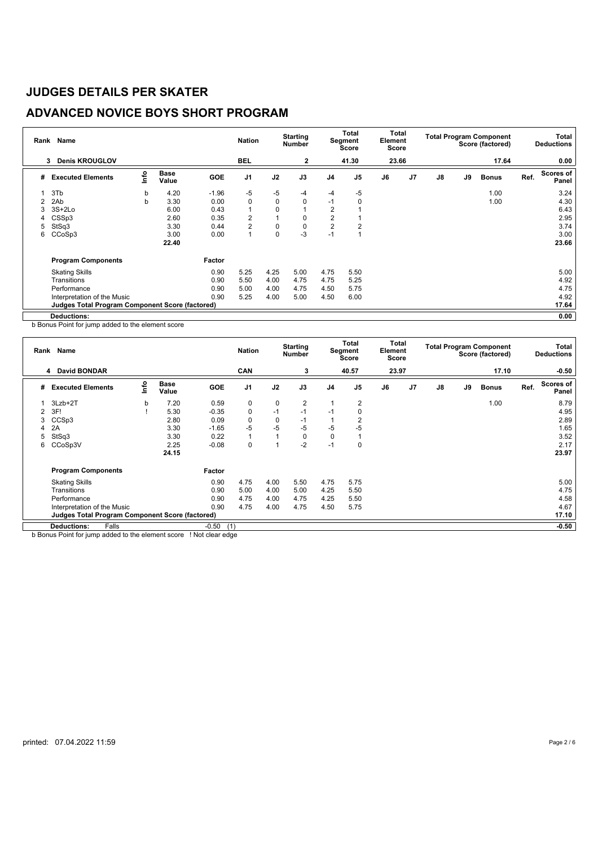# **ADVANCED NOVICE BOYS SHORT PROGRAM**

| Rank | Name                                                   |      |                      |         | <b>Nation</b>  |             | <b>Starting</b><br><b>Number</b> |                | <b>Total</b><br>Segment<br>Score | Total<br>Element<br>Score |                |               |    | <b>Total Program Component</b><br>Score (factored) |      | Total<br><b>Deductions</b> |
|------|--------------------------------------------------------|------|----------------------|---------|----------------|-------------|----------------------------------|----------------|----------------------------------|---------------------------|----------------|---------------|----|----------------------------------------------------|------|----------------------------|
|      | <b>Denis KROUGLOV</b><br>3                             |      |                      |         | <b>BEL</b>     |             | $\mathbf{2}$                     |                | 41.30                            | 23.66                     |                |               |    | 17.64                                              |      | 0.00                       |
| #    | <b>Executed Elements</b>                               | ١nfo | <b>Base</b><br>Value | GOE     | J <sub>1</sub> | J2          | J3                               | J <sub>4</sub> | J <sub>5</sub>                   | J6                        | J <sub>7</sub> | $\mathsf{J}8$ | J9 | <b>Bonus</b>                                       | Ref. | <b>Scores of</b><br>Panel  |
|      | 3T <sub>b</sub>                                        | b    | 4.20                 | $-1.96$ | -5             | -5          | $-4$                             | $-4$           | $-5$                             |                           |                |               |    | 1.00                                               |      | 3.24                       |
|      | 2Ab                                                    | b    | 3.30                 | 0.00    | 0              | $\mathbf 0$ | 0                                | $-1$           | 0                                |                           |                |               |    | 1.00                                               |      | 4.30                       |
| 3    | $3S+2Lo$                                               |      | 6.00                 | 0.43    | $\mathbf{1}$   | 0           |                                  | 2              |                                  |                           |                |               |    |                                                    |      | 6.43                       |
|      | CSSp3                                                  |      | 2.60                 | 0.35    | 2              |             | 0                                | $\overline{2}$ |                                  |                           |                |               |    |                                                    |      | 2.95                       |
| 5    | StSq3                                                  |      | 3.30                 | 0.44    | 2              | 0           | 0                                | $\overline{2}$ | 2                                |                           |                |               |    |                                                    |      | 3.74                       |
| 6    | CCoSp3                                                 |      | 3.00                 | 0.00    | 1              | 0           | $-3$                             | $-1$           |                                  |                           |                |               |    |                                                    |      | 3.00                       |
|      |                                                        |      | 22.40                |         |                |             |                                  |                |                                  |                           |                |               |    |                                                    |      | 23.66                      |
|      | <b>Program Components</b>                              |      |                      | Factor  |                |             |                                  |                |                                  |                           |                |               |    |                                                    |      |                            |
|      | <b>Skating Skills</b>                                  |      |                      | 0.90    | 5.25           | 4.25        | 5.00                             | 4.75           | 5.50                             |                           |                |               |    |                                                    |      | 5.00                       |
|      | Transitions                                            |      |                      | 0.90    | 5.50           | 4.00        | 4.75                             | 4.75           | 5.25                             |                           |                |               |    |                                                    |      | 4.92                       |
|      | Performance                                            |      |                      | 0.90    | 5.00           | 4.00        | 4.75                             | 4.50           | 5.75                             |                           |                |               |    |                                                    |      | 4.75                       |
|      | Interpretation of the Music                            |      |                      | 0.90    | 5.25           | 4.00        | 5.00                             | 4.50           | 6.00                             |                           |                |               |    |                                                    |      | 4.92                       |
|      | <b>Judges Total Program Component Score (factored)</b> |      |                      |         |                |             |                                  |                |                                  |                           |                |               |    |                                                    |      | 17.64                      |
|      | <b>Deductions:</b>                                     |      |                      |         |                |             |                                  |                |                                  |                           |                |               |    |                                                    |      | 0.00                       |

b Bonus Point for jump added to the element score

|   | Rank Name                                              |      |                      |                | <b>Nation</b>  |              | <b>Starting</b><br><b>Number</b> |                | Total<br><b>Segment</b><br><b>Score</b> | Element<br><b>Score</b> | Total          |    |    | <b>Total Program Component</b><br>Score (factored) |      | Total<br><b>Deductions</b> |
|---|--------------------------------------------------------|------|----------------------|----------------|----------------|--------------|----------------------------------|----------------|-----------------------------------------|-------------------------|----------------|----|----|----------------------------------------------------|------|----------------------------|
|   | <b>David BONDAR</b><br>4                               |      |                      |                | <b>CAN</b>     |              | 3                                |                | 40.57                                   | 23.97                   |                |    |    | 17.10                                              |      | $-0.50$                    |
| # | <b>Executed Elements</b>                               | ١nf٥ | <b>Base</b><br>Value | GOE            | J <sub>1</sub> | J2           | J3                               | J <sub>4</sub> | J <sub>5</sub>                          | J6                      | J <sub>7</sub> | J8 | J9 | <b>Bonus</b>                                       | Ref. | <b>Scores of</b><br>Panel  |
|   | 3Lzb+2T                                                | b    | 7.20                 | 0.59           | 0              | 0            | 2                                |                | 2                                       |                         |                |    |    | 1.00                                               |      | 8.79                       |
| 2 | 3F!                                                    |      | 5.30                 | $-0.35$        | 0              | $-1$         | $-1$                             | $-1$           | 0                                       |                         |                |    |    |                                                    |      | 4.95                       |
| 3 | CCS <sub>p3</sub>                                      |      | 2.80                 | 0.09           | 0              | $\mathbf 0$  | $-1$                             |                |                                         |                         |                |    |    |                                                    |      | 2.89                       |
|   | 2A                                                     |      | 3.30                 | $-1.65$        | -5             | $-5$         | $-5$                             | $-5$           | $-5$                                    |                         |                |    |    |                                                    |      | 1.65                       |
| 5 | StSq3                                                  |      | 3.30                 | 0.22           | 1              | $\mathbf{1}$ | 0                                | $\mathbf 0$    |                                         |                         |                |    |    |                                                    |      | 3.52                       |
| 6 | CCoSp3V                                                |      | 2.25                 | $-0.08$        | 0              | 1            | $-2$                             | $-1$           | 0                                       |                         |                |    |    |                                                    |      | 2.17                       |
|   |                                                        |      | 24.15                |                |                |              |                                  |                |                                         |                         |                |    |    |                                                    |      | 23.97                      |
|   | <b>Program Components</b>                              |      |                      | Factor         |                |              |                                  |                |                                         |                         |                |    |    |                                                    |      |                            |
|   | <b>Skating Skills</b>                                  |      |                      | 0.90           | 4.75           | 4.00         | 5.50                             | 4.75           | 5.75                                    |                         |                |    |    |                                                    |      | 5.00                       |
|   | Transitions                                            |      |                      | 0.90           | 5.00           | 4.00         | 5.00                             | 4.25           | 5.50                                    |                         |                |    |    |                                                    |      | 4.75                       |
|   | Performance                                            |      |                      | 0.90           | 4.75           | 4.00         | 4.75                             | 4.25           | 5.50                                    |                         |                |    |    |                                                    |      | 4.58                       |
|   | Interpretation of the Music                            |      |                      | 0.90           | 4.75           | 4.00         | 4.75                             | 4.50           | 5.75                                    |                         |                |    |    |                                                    |      | 4.67                       |
|   | <b>Judges Total Program Component Score (factored)</b> |      |                      |                |                |              |                                  |                |                                         |                         |                |    |    |                                                    |      | 17.10                      |
|   | Falls<br><b>Deductions:</b>                            |      |                      | $-0.50$<br>(1) |                |              |                                  |                |                                         |                         |                |    |    |                                                    |      | $-0.50$                    |

b Bonus Point for jump added to the element score ! Not clear edge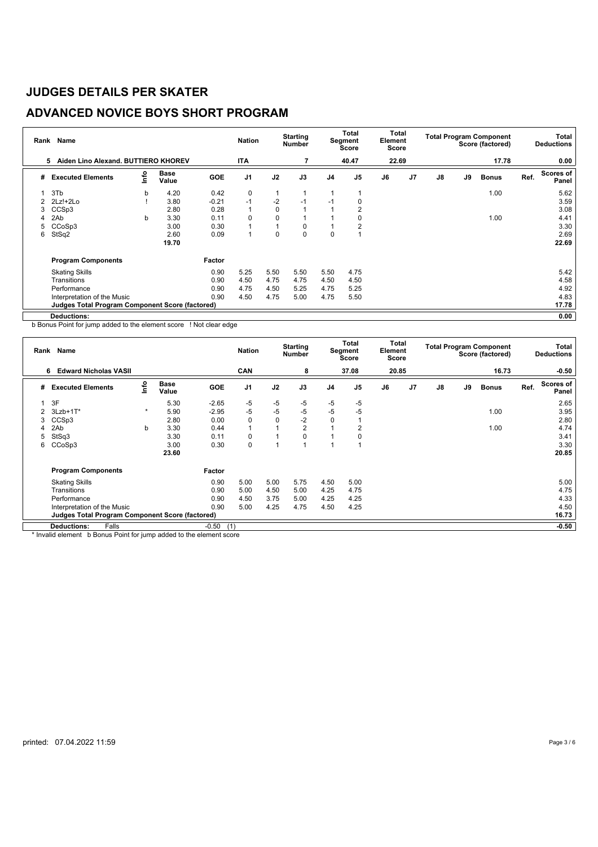# **ADVANCED NOVICE BOYS SHORT PROGRAM**

| Rank | Name                                            |      | <b>Nation</b>        |            | <b>Starting</b><br><b>Number</b> |      | <b>Total</b><br>Segment<br>Score | Element<br>Score | Total          |       |                | <b>Total Program Component</b><br>Score (factored) |    | Total<br><b>Deductions</b> |      |                           |
|------|-------------------------------------------------|------|----------------------|------------|----------------------------------|------|----------------------------------|------------------|----------------|-------|----------------|----------------------------------------------------|----|----------------------------|------|---------------------------|
|      | Aiden Lino Alexand, BUTTIERO KHOREV<br>5        |      |                      |            | <b>ITA</b>                       |      | 7                                |                  | 40.47          | 22.69 |                |                                                    |    | 17.78                      |      | 0.00                      |
| #    | <b>Executed Elements</b>                        | info | <b>Base</b><br>Value | <b>GOE</b> | J <sub>1</sub>                   | J2   | J3                               | J <sub>4</sub>   | J <sub>5</sub> | J6    | J <sub>7</sub> | $\mathsf{J}8$                                      | J9 | <b>Bonus</b>               | Ref. | <b>Scores of</b><br>Panel |
|      | 3T <sub>b</sub>                                 | b    | 4.20                 | 0.42       | 0                                | 1    |                                  |                  |                |       |                |                                                    |    | 1.00                       |      | 5.62                      |
|      | $2Lz!+2Lo$                                      |      | 3.80                 | $-0.21$    | $-1$                             | $-2$ | $-1$                             | -1               | 0              |       |                |                                                    |    |                            |      | 3.59                      |
| 3    | CCS <sub>p3</sub>                               |      | 2.80                 | 0.28       | 1                                | 0    |                                  |                  | 2              |       |                |                                                    |    |                            |      | 3.08                      |
|      | 2Ab                                             | b    | 3.30                 | 0.11       | 0                                | 0    |                                  |                  | 0              |       |                |                                                    |    | 1.00                       |      | 4.41                      |
| 5    | CCoSp3                                          |      | 3.00                 | 0.30       | 1                                |      | 0                                |                  | $\overline{2}$ |       |                |                                                    |    |                            |      | 3.30                      |
| 6    | StSq2                                           |      | 2.60                 | 0.09       | 1                                | 0    | 0                                | 0                |                |       |                |                                                    |    |                            |      | 2.69                      |
|      |                                                 |      | 19.70                |            |                                  |      |                                  |                  |                |       |                |                                                    |    |                            |      | 22.69                     |
|      | <b>Program Components</b>                       |      |                      | Factor     |                                  |      |                                  |                  |                |       |                |                                                    |    |                            |      |                           |
|      | <b>Skating Skills</b>                           |      |                      | 0.90       | 5.25                             | 5.50 | 5.50                             | 5.50             | 4.75           |       |                |                                                    |    |                            |      | 5.42                      |
|      | Transitions                                     |      |                      | 0.90       | 4.50                             | 4.75 | 4.75                             | 4.50             | 4.50           |       |                |                                                    |    |                            |      | 4.58                      |
|      | Performance                                     |      |                      | 0.90       | 4.75                             | 4.50 | 5.25                             | 4.75             | 5.25           |       |                |                                                    |    |                            |      | 4.92                      |
|      | Interpretation of the Music                     |      |                      | 0.90       | 4.50                             | 4.75 | 5.00                             | 4.75             | 5.50           |       |                |                                                    |    |                            |      | 4.83                      |
|      | Judges Total Program Component Score (factored) |      |                      |            |                                  |      |                                  |                  |                |       |                |                                                    |    |                            |      | 17.78                     |
|      | <b>Deductions:</b>                              |      |                      |            |                                  |      |                                  |                  |                |       |                |                                                    |    |                            |      | 0.00                      |

b Bonus Point for jump added to the element score ! Not clear edge

|   | Rank Name                                              |         |                      |                | <b>Nation</b>  |                | <b>Starting</b><br><b>Number</b> |                | Total<br>Segment<br>Score | Element<br>Score | Total          |    |    | <b>Total Program Component</b><br>Score (factored) |      | Total<br><b>Deductions</b> |
|---|--------------------------------------------------------|---------|----------------------|----------------|----------------|----------------|----------------------------------|----------------|---------------------------|------------------|----------------|----|----|----------------------------------------------------|------|----------------------------|
|   | <b>Edward Nicholas VASII</b><br>6                      |         |                      |                | <b>CAN</b>     |                | 8                                |                | 37.08                     |                  | 20.85          |    |    | 16.73                                              |      | $-0.50$                    |
| # | <b>Executed Elements</b>                               | ١nf٥    | <b>Base</b><br>Value | <b>GOE</b>     | J <sub>1</sub> | J2             | J3                               | J <sub>4</sub> | J <sub>5</sub>            | J6               | J <sub>7</sub> | J8 | J9 | <b>Bonus</b>                                       | Ref. | <b>Scores of</b><br>Panel  |
|   | 3F                                                     |         | 5.30                 | $-2.65$        | -5             | -5             | $-5$                             | $-5$           | $-5$                      |                  |                |    |    |                                                    |      | 2.65                       |
| 2 | $3Lzb+1T*$                                             | $\star$ | 5.90                 | $-2.95$        | $-5$           | $-5$           | $-5$                             | $-5$           | $-5$                      |                  |                |    |    | 1.00                                               |      | 3.95                       |
| 3 | CCSp3                                                  |         | 2.80                 | 0.00           | 0              | $\mathbf 0$    | $-2$                             | 0              |                           |                  |                |    |    |                                                    |      | 2.80                       |
|   | 2Ab                                                    | b       | 3.30                 | 0.44           | 1              | $\overline{A}$ | 2                                |                | 2                         |                  |                |    |    | 1.00                                               |      | 4.74                       |
| 5 | StSq3                                                  |         | 3.30                 | 0.11           | 0              |                | 0                                |                |                           |                  |                |    |    |                                                    |      | 3.41                       |
| 6 | CCoSp3                                                 |         | 3.00                 | 0.30           | 0              | и              |                                  |                |                           |                  |                |    |    |                                                    |      | 3.30                       |
|   |                                                        |         | 23.60                |                |                |                |                                  |                |                           |                  |                |    |    |                                                    |      | 20.85                      |
|   | <b>Program Components</b>                              |         |                      | Factor         |                |                |                                  |                |                           |                  |                |    |    |                                                    |      |                            |
|   | <b>Skating Skills</b>                                  |         |                      | 0.90           | 5.00           | 5.00           | 5.75                             | 4.50           | 5.00                      |                  |                |    |    |                                                    |      | 5.00                       |
|   | Transitions                                            |         |                      | 0.90           | 5.00           | 4.50           | 5.00                             | 4.25           | 4.75                      |                  |                |    |    |                                                    |      | 4.75                       |
|   | Performance                                            |         |                      | 0.90           | 4.50           | 3.75           | 5.00                             | 4.25           | 4.25                      |                  |                |    |    |                                                    |      | 4.33                       |
|   | Interpretation of the Music                            |         |                      | 0.90           | 5.00           | 4.25           | 4.75                             | 4.50           | 4.25                      |                  |                |    |    |                                                    |      | 4.50                       |
|   | <b>Judges Total Program Component Score (factored)</b> |         |                      |                |                |                |                                  |                |                           |                  |                |    |    |                                                    |      | 16.73                      |
|   | Falls<br><b>Deductions:</b>                            |         |                      | $-0.50$<br>(1) |                |                |                                  |                |                           |                  |                |    |    |                                                    |      | $-0.50$                    |

\* Invalid element b Bonus Point for jump added to the element score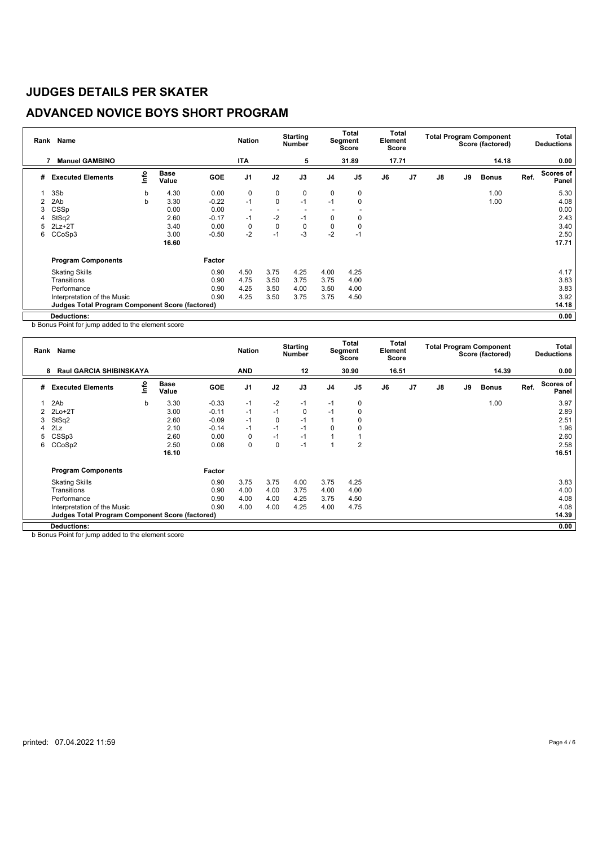# **ADVANCED NOVICE BOYS SHORT PROGRAM**

| Rank | Name                                                   |    |                      |         | <b>Nation</b>            |             | <b>Starting</b><br><b>Number</b> |                | Total<br>Segment<br>Score | Total<br>Element<br>Score |                |               |    | <b>Total Program Component</b><br>Score (factored) |      | Total<br><b>Deductions</b> |
|------|--------------------------------------------------------|----|----------------------|---------|--------------------------|-------------|----------------------------------|----------------|---------------------------|---------------------------|----------------|---------------|----|----------------------------------------------------|------|----------------------------|
|      | <b>Manuel GAMBINO</b>                                  |    |                      |         | <b>ITA</b>               |             | 5                                |                | 31.89                     | 17.71                     |                |               |    | 14.18                                              |      | 0.00                       |
| #    | <b>Executed Elements</b>                               | ۴ů | <b>Base</b><br>Value | GOE     | J <sub>1</sub>           | J2          | J3                               | J <sub>4</sub> | J <sub>5</sub>            | J6                        | J <sub>7</sub> | $\mathsf{J}8$ | J9 | <b>Bonus</b>                                       | Ref. | <b>Scores of</b><br>Panel  |
|      | 3Sb                                                    | b  | 4.30                 | 0.00    | 0                        | 0           | 0                                | 0              | $\mathbf 0$               |                           |                |               |    | 1.00                                               |      | 5.30                       |
|      | 2Ab                                                    | b  | 3.30                 | $-0.22$ | $-1$                     | $\mathbf 0$ | $-1$                             | $-1$           | $\Omega$                  |                           |                |               |    | 1.00                                               |      | 4.08                       |
| 3    | CSSp                                                   |    | 0.00                 | 0.00    | $\overline{\phantom{a}}$ |             |                                  |                |                           |                           |                |               |    |                                                    |      | 0.00                       |
|      | StSq2                                                  |    | 2.60                 | $-0.17$ | $-1$                     | $-2$        | $-1$                             | 0              | 0                         |                           |                |               |    |                                                    |      | 2.43                       |
| 5    | $2Lz+2T$                                               |    | 3.40                 | 0.00    | 0                        | 0           | $\mathbf 0$                      | 0              |                           |                           |                |               |    |                                                    |      | 3.40                       |
| 6    | CCoSp3                                                 |    | 3.00                 | $-0.50$ | $-2$                     | $-1$        | $-3$                             | $-2$           | $-1$                      |                           |                |               |    |                                                    |      | 2.50                       |
|      |                                                        |    | 16.60                |         |                          |             |                                  |                |                           |                           |                |               |    |                                                    |      | 17.71                      |
|      | <b>Program Components</b>                              |    |                      | Factor  |                          |             |                                  |                |                           |                           |                |               |    |                                                    |      |                            |
|      | <b>Skating Skills</b>                                  |    |                      | 0.90    | 4.50                     | 3.75        | 4.25                             | 4.00           | 4.25                      |                           |                |               |    |                                                    |      | 4.17                       |
|      | Transitions                                            |    |                      | 0.90    | 4.75                     | 3.50        | 3.75                             | 3.75           | 4.00                      |                           |                |               |    |                                                    |      | 3.83                       |
|      | Performance                                            |    |                      | 0.90    | 4.25                     | 3.50        | 4.00                             | 3.50           | 4.00                      |                           |                |               |    |                                                    |      | 3.83                       |
|      | Interpretation of the Music                            |    |                      | 0.90    | 4.25                     | 3.50        | 3.75                             | 3.75           | 4.50                      |                           |                |               |    |                                                    |      | 3.92                       |
|      | <b>Judges Total Program Component Score (factored)</b> |    |                      |         |                          |             |                                  |                |                           |                           |                |               |    |                                                    |      | 14.18                      |
|      | <b>Deductions:</b>                                     |    |                      |         |                          |             |                                  |                |                           |                           |                |               |    |                                                    |      | 0.00                       |

b Bonus Point for jump added to the element score

| Rank | <b>Name</b>                                     |    |                      |            | <b>Nation</b>  |      | <b>Starting</b><br>Number |          | Total<br><b>Segment</b><br><b>Score</b> | Total<br>Element<br><b>Score</b> |                |               |    | <b>Total Program Component</b><br>Score (factored) |      | Total<br><b>Deductions</b> |
|------|-------------------------------------------------|----|----------------------|------------|----------------|------|---------------------------|----------|-----------------------------------------|----------------------------------|----------------|---------------|----|----------------------------------------------------|------|----------------------------|
|      | <b>Raul GARCIA SHIBINSKAYA</b><br>8             |    |                      |            | <b>AND</b>     |      | 12                        |          | 30.90                                   | 16.51                            |                |               |    | 14.39                                              |      | 0.00                       |
| #    | <b>Executed Elements</b>                        | ۴n | <b>Base</b><br>Value | <b>GOE</b> | J <sub>1</sub> | J2   | J3                        | J4       | J <sub>5</sub>                          | J6                               | J <sub>7</sub> | $\mathsf{J}8$ | J9 | <b>Bonus</b>                                       | Ref. | Scores of<br>Panel         |
|      | 2Ab                                             | b  | 3.30                 | $-0.33$    | $-1$           | $-2$ | $-1$                      | $-1$     | 0                                       |                                  |                |               |    | 1.00                                               |      | 3.97                       |
|      | $2Lo+2T$                                        |    | 3.00                 | $-0.11$    | $-1$           | $-1$ | 0                         | -1       | 0                                       |                                  |                |               |    |                                                    |      | 2.89                       |
| 3    | StSq2                                           |    | 2.60                 | $-0.09$    | $-1$           | 0    | -1                        |          | 0                                       |                                  |                |               |    |                                                    |      | 2.51                       |
| 4    | 2Lz                                             |    | 2.10                 | $-0.14$    | $-1$           | $-1$ | -1                        | $\Omega$ |                                         |                                  |                |               |    |                                                    |      | 1.96                       |
| 5    | CSSp3                                           |    | 2.60                 | 0.00       | 0              | $-1$ | $-1$                      |          |                                         |                                  |                |               |    |                                                    |      | 2.60                       |
| 6    | CCoSp2                                          |    | 2.50                 | 0.08       | 0              | 0    | $-1$                      |          | $\overline{2}$                          |                                  |                |               |    |                                                    |      | 2.58                       |
|      |                                                 |    | 16.10                |            |                |      |                           |          |                                         |                                  |                |               |    |                                                    |      | 16.51                      |
|      | <b>Program Components</b>                       |    |                      | Factor     |                |      |                           |          |                                         |                                  |                |               |    |                                                    |      |                            |
|      | <b>Skating Skills</b>                           |    |                      | 0.90       | 3.75           | 3.75 | 4.00                      | 3.75     | 4.25                                    |                                  |                |               |    |                                                    |      | 3.83                       |
|      | Transitions                                     |    |                      | 0.90       | 4.00           | 4.00 | 3.75                      | 4.00     | 4.00                                    |                                  |                |               |    |                                                    |      | 4.00                       |
|      | Performance                                     |    |                      | 0.90       | 4.00           | 4.00 | 4.25                      | 3.75     | 4.50                                    |                                  |                |               |    |                                                    |      | 4.08                       |
|      | Interpretation of the Music                     |    |                      | 0.90       | 4.00           | 4.00 | 4.25                      | 4.00     | 4.75                                    |                                  |                |               |    |                                                    |      | 4.08                       |
|      | Judges Total Program Component Score (factored) |    |                      |            |                |      |                           |          |                                         |                                  |                |               |    |                                                    |      | 14.39                      |
|      | <b>Deductions:</b>                              |    |                      |            |                |      |                           |          |                                         |                                  |                |               |    |                                                    |      | 0.00                       |

b Bonus Point for jump added to the element score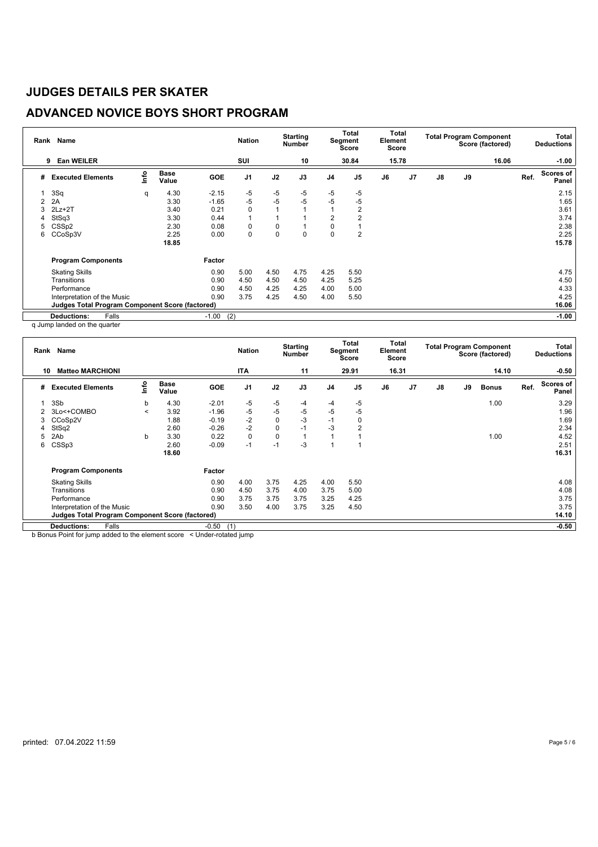# **ADVANCED NOVICE BOYS SHORT PROGRAM**

| Rank | Name                                                   |      |                      |                | <b>Nation</b>  |             | <b>Starting</b><br>Number |                | Total<br>Segment<br><b>Score</b> | Total<br>Element<br>Score |                |               |    | <b>Total Program Component</b><br>Score (factored) |      | Total<br><b>Deductions</b> |
|------|--------------------------------------------------------|------|----------------------|----------------|----------------|-------------|---------------------------|----------------|----------------------------------|---------------------------|----------------|---------------|----|----------------------------------------------------|------|----------------------------|
|      | Ean WEILER<br>9                                        |      |                      |                | SUI            |             | 10                        |                | 30.84                            | 15.78                     |                |               |    | 16.06                                              |      | $-1.00$                    |
| #    | <b>Executed Elements</b>                               | lnfo | <b>Base</b><br>Value | <b>GOE</b>     | J <sub>1</sub> | J2          | J3                        | J <sub>4</sub> | J <sub>5</sub>                   | J6                        | J <sub>7</sub> | $\mathsf{J}8$ | J9 |                                                    | Ref. | Scores of<br>Panel         |
|      | 3Sq                                                    | q    | 4.30                 | $-2.15$        | $-5$           | $-5$        | -5                        | $-5$           | $-5$                             |                           |                |               |    |                                                    |      | 2.15                       |
|      | 2A                                                     |      | 3.30                 | $-1.65$        | $-5$           | $-5$        | $-5$                      | $-5$           | $-5$                             |                           |                |               |    |                                                    |      | 1.65                       |
| 3    | $2Lz+2T$                                               |      | 3.40                 | 0.21           | 0              |             |                           |                | 2                                |                           |                |               |    |                                                    |      | 3.61                       |
| 4    | StSq3                                                  |      | 3.30                 | 0.44           | $\overline{1}$ |             |                           | $\overline{2}$ |                                  |                           |                |               |    |                                                    |      | 3.74                       |
| 5    | CSS <sub>p2</sub>                                      |      | 2.30                 | 0.08           | 0              | 0           |                           | 0              |                                  |                           |                |               |    |                                                    |      | 2.38                       |
| 6    | CCoSp3V                                                |      | 2.25                 | 0.00           | 0              | $\mathbf 0$ | $\mathbf 0$               | 0              | 2                                |                           |                |               |    |                                                    |      | 2.25                       |
|      |                                                        |      | 18.85                |                |                |             |                           |                |                                  |                           |                |               |    |                                                    |      | 15.78                      |
|      | <b>Program Components</b>                              |      |                      | Factor         |                |             |                           |                |                                  |                           |                |               |    |                                                    |      |                            |
|      | <b>Skating Skills</b>                                  |      |                      | 0.90           | 5.00           | 4.50        | 4.75                      | 4.25           | 5.50                             |                           |                |               |    |                                                    |      | 4.75                       |
|      | Transitions                                            |      |                      | 0.90           | 4.50           | 4.50        | 4.50                      | 4.25           | 5.25                             |                           |                |               |    |                                                    |      | 4.50                       |
|      | Performance                                            |      |                      | 0.90           | 4.50           | 4.25        | 4.25                      | 4.00           | 5.00                             |                           |                |               |    |                                                    |      | 4.33                       |
|      | Interpretation of the Music                            |      |                      | 0.90           | 3.75           | 4.25        | 4.50                      | 4.00           | 5.50                             |                           |                |               |    |                                                    |      | 4.25                       |
|      | <b>Judges Total Program Component Score (factored)</b> |      |                      |                |                |             |                           |                |                                  |                           |                |               |    |                                                    |      | 16.06                      |
|      | <b>Deductions:</b><br>Falls                            |      |                      | (2)<br>$-1.00$ |                |             |                           |                |                                  |                           |                |               |    |                                                    |      | $-1.00$                    |

q Jump landed on the quarter

|  |  | q Jump langed on the quarter |  |
|--|--|------------------------------|--|
|  |  |                              |  |

|    | Rank Name                                       |                          |                      |            | <b>Nation</b>  |             | <b>Starting</b><br><b>Number</b> |                | Total<br>Segment<br>Score | Element<br>Score | Total          |    |    | <b>Total Program Component</b><br>Score (factored) |      | Total<br><b>Deductions</b> |
|----|-------------------------------------------------|--------------------------|----------------------|------------|----------------|-------------|----------------------------------|----------------|---------------------------|------------------|----------------|----|----|----------------------------------------------------|------|----------------------------|
| 10 | <b>Matteo MARCHIONI</b>                         |                          |                      |            | <b>ITA</b>     |             | 11                               |                | 29.91                     | 16.31            |                |    |    | 14.10                                              |      | $-0.50$                    |
| #  | <b>Executed Elements</b>                        | lnfo                     | <b>Base</b><br>Value | <b>GOE</b> | J <sub>1</sub> | J2          | J3                               | J <sub>4</sub> | J <sub>5</sub>            | J6               | J <sub>7</sub> | J8 | J9 | <b>Bonus</b>                                       | Ref. | Scores of<br>Panel         |
|    | 3Sb                                             | b                        | 4.30                 | $-2.01$    | -5             | -5          | -4                               | -4             | $-5$                      |                  |                |    |    | 1.00                                               |      | 3.29                       |
|    | 3Lo<+COMBO                                      | $\overline{\phantom{a}}$ | 3.92                 | $-1.96$    | $-5$           | $-5$        | -5                               | $-5$           | -5                        |                  |                |    |    |                                                    |      | 1.96                       |
| 3  | CCoSp2V                                         |                          | 1.88                 | $-0.19$    | $-2$           | $\mathbf 0$ | $-3$                             | $-1$           | 0                         |                  |                |    |    |                                                    |      | 1.69                       |
| 4  | StSq2                                           |                          | 2.60                 | $-0.26$    | $-2$           | $\mathbf 0$ | $-1$                             | -3             | 2                         |                  |                |    |    |                                                    |      | 2.34                       |
| 5  | 2Ab                                             | b                        | 3.30                 | 0.22       | $\mathbf 0$    | 0           |                                  |                |                           |                  |                |    |    | 1.00                                               |      | 4.52                       |
| 6  | CSSp3                                           |                          | 2.60                 | $-0.09$    | $-1$           | $-1$        | $-3$                             | и              |                           |                  |                |    |    |                                                    |      | 2.51                       |
|    |                                                 |                          | 18.60                |            |                |             |                                  |                |                           |                  |                |    |    |                                                    |      | 16.31                      |
|    | <b>Program Components</b>                       |                          |                      | Factor     |                |             |                                  |                |                           |                  |                |    |    |                                                    |      |                            |
|    | <b>Skating Skills</b>                           |                          |                      | 0.90       | 4.00           | 3.75        | 4.25                             | 4.00           | 5.50                      |                  |                |    |    |                                                    |      | 4.08                       |
|    | Transitions                                     |                          |                      | 0.90       | 4.50           | 3.75        | 4.00                             | 3.75           | 5.00                      |                  |                |    |    |                                                    |      | 4.08                       |
|    | Performance                                     |                          |                      | 0.90       | 3.75           | 3.75        | 3.75                             | 3.25           | 4.25                      |                  |                |    |    |                                                    |      | 3.75                       |
|    | Interpretation of the Music                     |                          |                      | 0.90       | 3.50           | 4.00        | 3.75                             | 3.25           | 4.50                      |                  |                |    |    |                                                    |      | 3.75                       |
|    | Judges Total Program Component Score (factored) |                          |                      |            |                |             |                                  |                |                           |                  |                |    |    |                                                    |      | 14.10                      |
|    | Falls<br><b>Deductions:</b>                     |                          |                      | $-0.50$    | (1)            |             |                                  |                |                           |                  |                |    |    |                                                    |      | $-0.50$                    |

b Bonus Point for jump added to the element score < Under-rotated jump